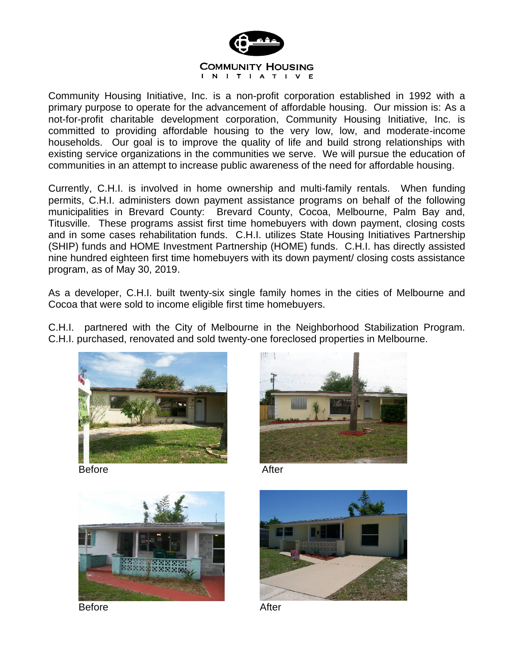

Community Housing Initiative, Inc. is a non-profit corporation established in 1992 with a primary purpose to operate for the advancement of affordable housing. Our mission is: As a not-for-profit charitable development corporation, Community Housing Initiative, Inc. is committed to providing affordable housing to the very low, low, and moderate-income households. Our goal is to improve the quality of life and build strong relationships with existing service organizations in the communities we serve. We will pursue the education of communities in an attempt to increase public awareness of the need for affordable housing.

Currently, C.H.I. is involved in home ownership and multi-family rentals. When funding permits, C.H.I. administers down payment assistance programs on behalf of the following municipalities in Brevard County: Brevard County, Cocoa, Melbourne, Palm Bay and, Titusville. These programs assist first time homebuyers with down payment, closing costs and in some cases rehabilitation funds. C.H.I. utilizes State Housing Initiatives Partnership (SHIP) funds and HOME Investment Partnership (HOME) funds. C.H.I. has directly assisted nine hundred eighteen first time homebuyers with its down payment/ closing costs assistance program, as of May 30, 2019.

As a developer, C.H.I. built twenty-six single family homes in the cities of Melbourne and Cocoa that were sold to income eligible first time homebuyers.

C.H.I. partnered with the City of Melbourne in the Neighborhood Stabilization Program. C.H.I. purchased, renovated and sold twenty-one foreclosed properties in Melbourne.



Before After





Before After

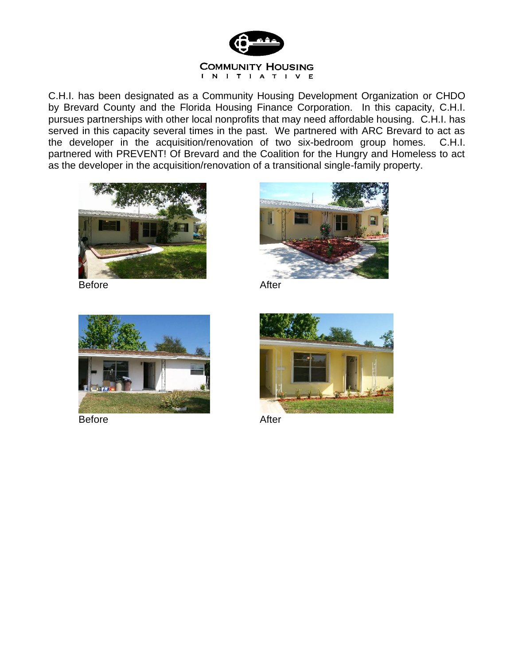

C.H.I. has been designated as a Community Housing Development Organization or CHDO by Brevard County and the Florida Housing Finance Corporation. In this capacity, C.H.I. pursues partnerships with other local nonprofits that may need affordable housing. C.H.I. has served in this capacity several times in the past. We partnered with ARC Brevard to act as the developer in the acquisition/renovation of two six-bedroom group homes. C.H.I. partnered with PREVENT! Of Brevard and the Coalition for the Hungry and Homeless to act as the developer in the acquisition/renovation of a transitional single-family property.



Before After





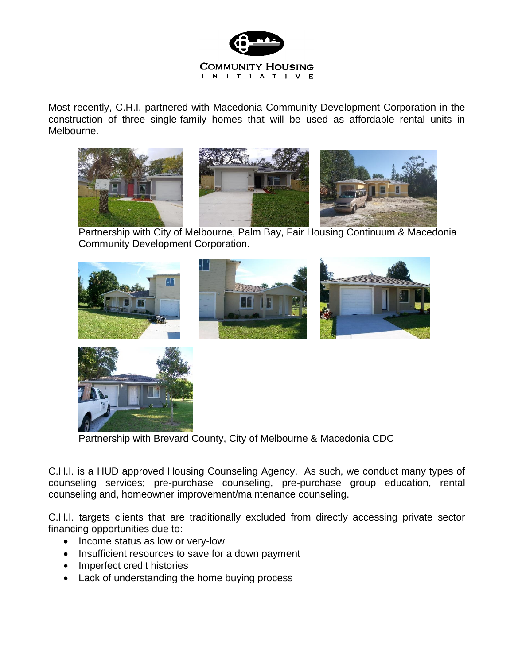

Most recently, C.H.I. partnered with Macedonia Community Development Corporation in the construction of three single-family homes that will be used as affordable rental units in Melbourne.



Partnership with City of Melbourne, Palm Bay, Fair Housing Continuum & Macedonia Community Development Corporation.





Partnership with Brevard County, City of Melbourne & Macedonia CDC

C.H.I. is a HUD approved Housing Counseling Agency. As such, we conduct many types of counseling services; pre-purchase counseling, pre-purchase group education, rental counseling and, homeowner improvement/maintenance counseling.

C.H.I. targets clients that are traditionally excluded from directly accessing private sector financing opportunities due to:

- Income status as low or very-low
- Insufficient resources to save for a down payment
- Imperfect credit histories
- Lack of understanding the home buying process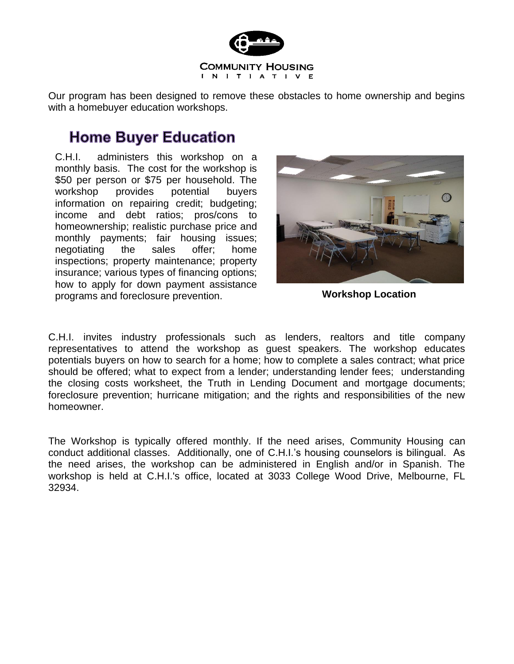

Our program has been designed to remove these obstacles to home ownership and begins with a homebuyer education workshops.

# **Home Buyer Education**

C.H.I. administers this workshop on a monthly basis. The cost for the workshop is \$50 per person or \$75 per household. The workshop provides potential buyers information on repairing credit; budgeting; income and debt ratios; pros/cons to homeownership; realistic purchase price and monthly payments; fair housing issues; negotiating the sales offer; home inspections; property maintenance; property insurance; various types of financing options; how to apply for down payment assistance programs and foreclosure prevention. **Workshop Location**



C.H.I. invites industry professionals such as lenders, realtors and title company representatives to attend the workshop as guest speakers. The workshop educates potentials buyers on how to search for a home; how to complete a sales contract; what price should be offered; what to expect from a lender; understanding lender fees; understanding the closing costs worksheet, the Truth in Lending Document and mortgage documents; foreclosure prevention; hurricane mitigation; and the rights and responsibilities of the new homeowner.

The Workshop is typically offered monthly. If the need arises, Community Housing can conduct additional classes. Additionally, one of C.H.I.'s housing counselors is bilingual. As the need arises, the workshop can be administered in English and/or in Spanish. The workshop is held at C.H.I.'s office, located at 3033 College Wood Drive, Melbourne, FL 32934.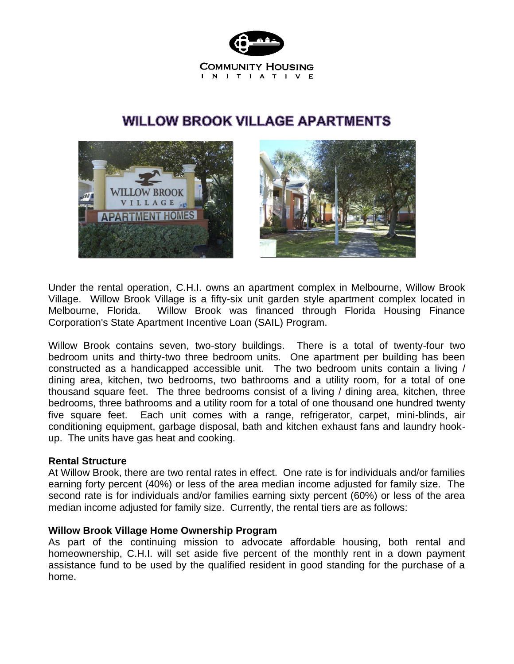

## **WILLOW BROOK VILLAGE APARTMENTS**



Under the rental operation, C.H.I. owns an apartment complex in Melbourne, Willow Brook Village. Willow Brook Village is a fifty-six unit garden style apartment complex located in Melbourne, Florida. Willow Brook was financed through Florida Housing Finance Corporation's State Apartment Incentive Loan (SAIL) Program.

Willow Brook contains seven, two-story buildings. There is a total of twenty-four two bedroom units and thirty-two three bedroom units. One apartment per building has been constructed as a handicapped accessible unit. The two bedroom units contain a living / dining area, kitchen, two bedrooms, two bathrooms and a utility room, for a total of one thousand square feet. The three bedrooms consist of a living / dining area, kitchen, three bedrooms, three bathrooms and a utility room for a total of one thousand one hundred twenty five square feet. Each unit comes with a range, refrigerator, carpet, mini-blinds, air conditioning equipment, garbage disposal, bath and kitchen exhaust fans and laundry hookup. The units have gas heat and cooking.

### **Rental Structure**

At Willow Brook, there are two rental rates in effect. One rate is for individuals and/or families earning forty percent (40%) or less of the area median income adjusted for family size. The second rate is for individuals and/or families earning sixty percent (60%) or less of the area median income adjusted for family size. Currently, the rental tiers are as follows:

### **Willow Brook Village Home Ownership Program**

As part of the continuing mission to advocate affordable housing, both rental and homeownership, C.H.I. will set aside five percent of the monthly rent in a down payment assistance fund to be used by the qualified resident in good standing for the purchase of a home.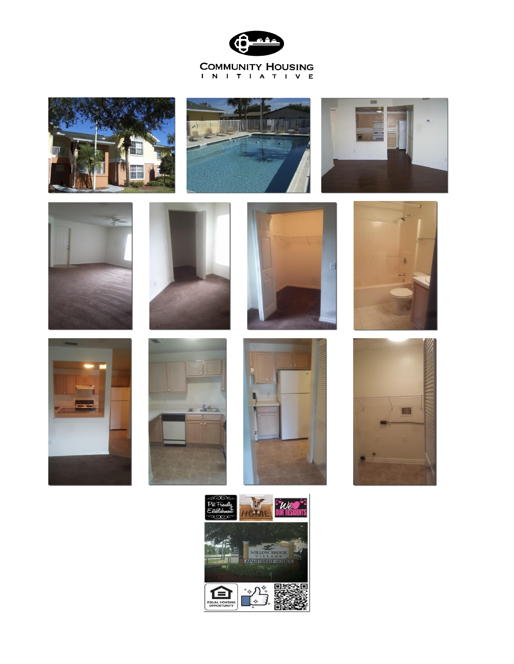